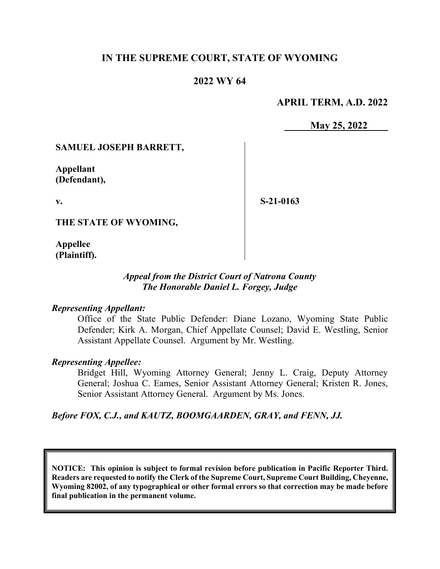## **IN THE SUPREME COURT, STATE OF WYOMING**

## **2022 WY 64**

## **APRIL TERM, A.D. 2022**

**May 25, 2022** 

#### **SAMUEL JOSEPH BARRETT,**

**Appellant (Defendant),** 

**v.** 

**S-21-0163** 

**THE STATE OF WYOMING,** 

**Appellee (Plaintiff).**

### *Appeal from the District Court of Natrona County The Honorable Daniel L. Forgey, Judge*

#### *Representing Appellant:*

Office of the State Public Defender: Diane Lozano, Wyoming State Public Defender; Kirk A. Morgan, Chief Appellate Counsel; David E. Westling, Senior Assistant Appellate Counsel. Argument by Mr. Westling.

#### *Representing Appellee:*

Bridget Hill, Wyoming Attorney General; Jenny L. Craig, Deputy Attorney General; Joshua C. Eames, Senior Assistant Attorney General; Kristen R. Jones, Senior Assistant Attorney General. Argument by Ms. Jones.

*Before FOX, C.J., and KAUTZ, BOOMGAARDEN, GRAY, and FENN, JJ.* 

**NOTICE: This opinion is subject to formal revision before publication in Pacific Reporter Third. Readers are requested to notify the Clerk of the Supreme Court, Supreme Court Building, Cheyenne, Wyoming 82002, of any typographical or other formal errors so that correction may be made before final publication in the permanent volume.**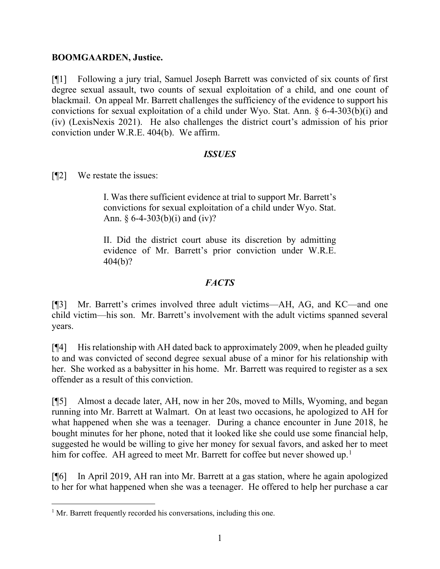## **BOOMGAARDEN, Justice.**

[¶1] Following a jury trial, Samuel Joseph Barrett was convicted of six counts of first degree sexual assault, two counts of sexual exploitation of a child, and one count of blackmail. On appeal Mr. Barrett challenges the sufficiency of the evidence to support his convictions for sexual exploitation of a child under Wyo. Stat. Ann. § 6-4-303(b)(i) and (iv) (LexisNexis 2021). He also challenges the district court's admission of his prior conviction under W.R.E. 404(b). We affirm.

### *ISSUES*

[¶2] We restate the issues:

I. Was there sufficient evidence at trial to support Mr. Barrett's convictions for sexual exploitation of a child under Wyo. Stat. Ann.  $\S$  6-4-303(b)(i) and (iv)?

II. Did the district court abuse its discretion by admitting evidence of Mr. Barrett's prior conviction under W.R.E. 404(b)?

## *FACTS*

[¶3] Mr. Barrett's crimes involved three adult victims—AH, AG, and KC—and one child victim—his son. Mr. Barrett's involvement with the adult victims spanned several years.

[¶4] His relationship with AH dated back to approximately 2009, when he pleaded guilty to and was convicted of second degree sexual abuse of a minor for his relationship with her. She worked as a babysitter in his home. Mr. Barrett was required to register as a sex offender as a result of this conviction.

[¶5] Almost a decade later, AH, now in her 20s, moved to Mills, Wyoming, and began running into Mr. Barrett at Walmart. On at least two occasions, he apologized to AH for what happened when she was a teenager. During a chance encounter in June 2018, he bought minutes for her phone, noted that it looked like she could use some financial help, suggested he would be willing to give her money for sexual favors, and asked her to meet him for coffee. AH agreed to meet Mr. Barrett for coffee but never showed up.<sup>[1](#page-1-0)</sup>

[¶6] In April 2019, AH ran into Mr. Barrett at a gas station, where he again apologized to her for what happened when she was a teenager. He offered to help her purchase a car

<span id="page-1-0"></span><sup>&</sup>lt;sup>1</sup> Mr. Barrett frequently recorded his conversations, including this one.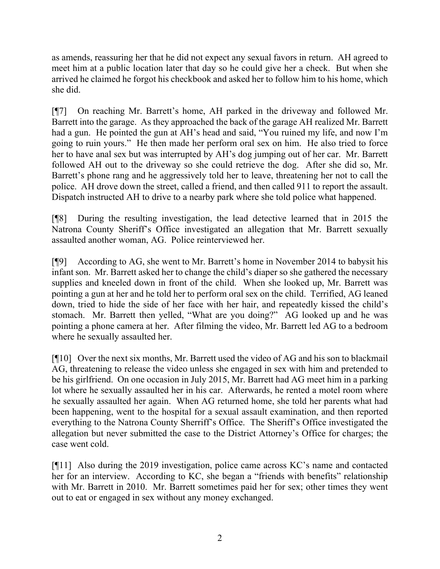as amends, reassuring her that he did not expect any sexual favors in return. AH agreed to meet him at a public location later that day so he could give her a check. But when she arrived he claimed he forgot his checkbook and asked her to follow him to his home, which she did.

[¶7] On reaching Mr. Barrett's home, AH parked in the driveway and followed Mr. Barrett into the garage. As they approached the back of the garage AH realized Mr. Barrett had a gun. He pointed the gun at AH's head and said, "You ruined my life, and now I'm going to ruin yours." He then made her perform oral sex on him. He also tried to force her to have anal sex but was interrupted by AH's dog jumping out of her car. Mr. Barrett followed AH out to the driveway so she could retrieve the dog. After she did so, Mr. Barrett's phone rang and he aggressively told her to leave, threatening her not to call the police. AH drove down the street, called a friend, and then called 911 to report the assault. Dispatch instructed AH to drive to a nearby park where she told police what happened.

[¶8] During the resulting investigation, the lead detective learned that in 2015 the Natrona County Sheriff's Office investigated an allegation that Mr. Barrett sexually assaulted another woman, AG. Police reinterviewed her.

[¶9] According to AG, she went to Mr. Barrett's home in November 2014 to babysit his infant son. Mr. Barrett asked her to change the child's diaper so she gathered the necessary supplies and kneeled down in front of the child. When she looked up, Mr. Barrett was pointing a gun at her and he told her to perform oral sex on the child. Terrified, AG leaned down, tried to hide the side of her face with her hair, and repeatedly kissed the child's stomach. Mr. Barrett then yelled, "What are you doing?" AG looked up and he was pointing a phone camera at her. After filming the video, Mr. Barrett led AG to a bedroom where he sexually assaulted her.

[¶10] Over the next six months, Mr. Barrett used the video of AG and his son to blackmail AG, threatening to release the video unless she engaged in sex with him and pretended to be his girlfriend. On one occasion in July 2015, Mr. Barrett had AG meet him in a parking lot where he sexually assaulted her in his car. Afterwards, he rented a motel room where he sexually assaulted her again. When AG returned home, she told her parents what had been happening, went to the hospital for a sexual assault examination, and then reported everything to the Natrona County Sherriff's Office. The Sheriff's Office investigated the allegation but never submitted the case to the District Attorney's Office for charges; the case went cold.

[¶11] Also during the 2019 investigation, police came across KC's name and contacted her for an interview. According to KC, she began a "friends with benefits" relationship with Mr. Barrett in 2010. Mr. Barrett sometimes paid her for sex; other times they went out to eat or engaged in sex without any money exchanged.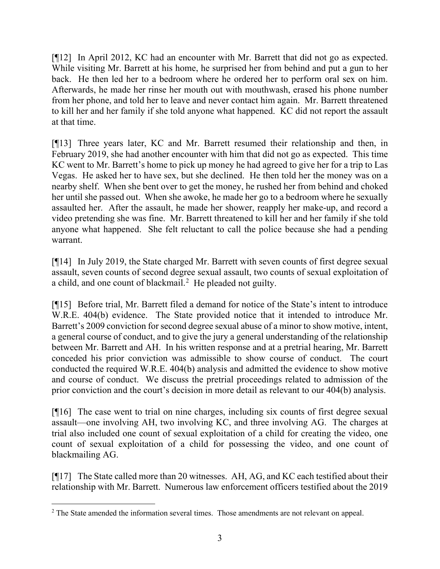[¶12] In April 2012, KC had an encounter with Mr. Barrett that did not go as expected. While visiting Mr. Barrett at his home, he surprised her from behind and put a gun to her back. He then led her to a bedroom where he ordered her to perform oral sex on him. Afterwards, he made her rinse her mouth out with mouthwash, erased his phone number from her phone, and told her to leave and never contact him again. Mr. Barrett threatened to kill her and her family if she told anyone what happened. KC did not report the assault at that time.

[¶13] Three years later, KC and Mr. Barrett resumed their relationship and then, in February 2019, she had another encounter with him that did not go as expected. This time KC went to Mr. Barrett's home to pick up money he had agreed to give her for a trip to Las Vegas. He asked her to have sex, but she declined. He then told her the money was on a nearby shelf. When she bent over to get the money, he rushed her from behind and choked her until she passed out. When she awoke, he made her go to a bedroom where he sexually assaulted her. After the assault, he made her shower, reapply her make-up, and record a video pretending she was fine. Mr. Barrett threatened to kill her and her family if she told anyone what happened. She felt reluctant to call the police because she had a pending warrant.

[¶14] In July 2019, the State charged Mr. Barrett with seven counts of first degree sexual assault, seven counts of second degree sexual assault, two counts of sexual exploitation of a child, and one count of blackmail.<sup>[2](#page-3-0)</sup> He pleaded not guilty.

[¶15] Before trial, Mr. Barrett filed a demand for notice of the State's intent to introduce W.R.E. 404(b) evidence. The State provided notice that it intended to introduce Mr. Barrett's 2009 conviction for second degree sexual abuse of a minor to show motive, intent, a general course of conduct, and to give the jury a general understanding of the relationship between Mr. Barrett and AH. In his written response and at a pretrial hearing, Mr. Barrett conceded his prior conviction was admissible to show course of conduct. The court conducted the required W.R.E. 404(b) analysis and admitted the evidence to show motive and course of conduct. We discuss the pretrial proceedings related to admission of the prior conviction and the court's decision in more detail as relevant to our 404(b) analysis.

[¶16] The case went to trial on nine charges, including six counts of first degree sexual assault—one involving AH, two involving KC, and three involving AG. The charges at trial also included one count of sexual exploitation of a child for creating the video, one count of sexual exploitation of a child for possessing the video, and one count of blackmailing AG.

[¶17] The State called more than 20 witnesses. AH, AG, and KC each testified about their relationship with Mr. Barrett. Numerous law enforcement officers testified about the 2019

<span id="page-3-0"></span><sup>&</sup>lt;sup>2</sup> The State amended the information several times. Those amendments are not relevant on appeal.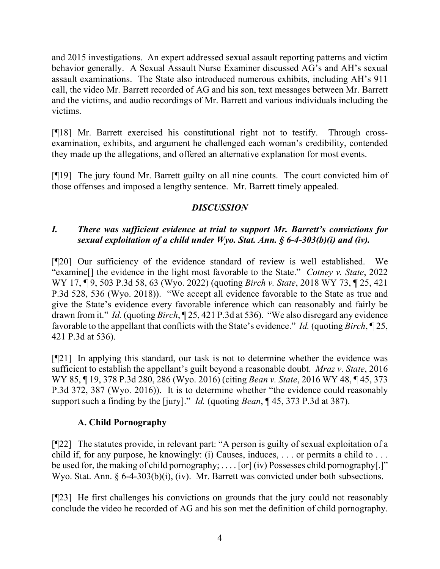and 2015 investigations. An expert addressed sexual assault reporting patterns and victim behavior generally. A Sexual Assault Nurse Examiner discussed AG's and AH's sexual assault examinations. The State also introduced numerous exhibits, including AH's 911 call, the video Mr. Barrett recorded of AG and his son, text messages between Mr. Barrett and the victims, and audio recordings of Mr. Barrett and various individuals including the victims.

[¶18] Mr. Barrett exercised his constitutional right not to testify. Through crossexamination, exhibits, and argument he challenged each woman's credibility, contended they made up the allegations, and offered an alternative explanation for most events.

[¶19] The jury found Mr. Barrett guilty on all nine counts. The court convicted him of those offenses and imposed a lengthy sentence. Mr. Barrett timely appealed.

# *DISCUSSION*

## *I. There was sufficient evidence at trial to support Mr. Barrett's convictions for sexual exploitation of a child under Wyo. Stat. Ann. § 6-4-303(b)(i) and (iv).*

[¶20] Our sufficiency of the evidence standard of review is well established. We "examine[] the evidence in the light most favorable to the State." *Cotney v. State*, 2022 WY 17, ¶ 9, 503 P.3d 58, 63 (Wyo. 2022) (quoting *Birch v. State*, 2018 WY 73, ¶ 25, 421 P.3d 528, 536 (Wyo. 2018)). "We accept all evidence favorable to the State as true and give the State's evidence every favorable inference which can reasonably and fairly be drawn from it." *Id.* (quoting *Birch*, ¶ 25, 421 P.3d at 536). "We also disregard any evidence favorable to the appellant that conflicts with the State's evidence." *Id.* (quoting *Birch*, ¶ 25, 421 P.3d at 536).

[¶21] In applying this standard, our task is not to determine whether the evidence was sufficient to establish the appellant's guilt beyond a reasonable doubt. *Mraz v. State*, 2016 WY 85, ¶ 19, 378 P.3d 280, 286 (Wyo. 2016) (citing *Bean v. State*, 2016 WY 48, ¶ 45, 373 P.3d 372, 387 (Wyo. 2016)). It is to determine whether "the evidence could reasonably support such a finding by the [jury]." *Id.* (quoting *Bean*, ¶ 45, 373 P.3d at 387).

# **A. Child Pornography**

[¶22] The statutes provide, in relevant part: "A person is guilty of sexual exploitation of a child if, for any purpose, he knowingly: (i) Causes, induces, . . . or permits a child to . . . be used for, the making of child pornography; ... . [or] (iv) Possesses child pornography[.]" Wyo. Stat. Ann. § 6-4-303(b)(i), (iv). Mr. Barrett was convicted under both subsections.

[¶23] He first challenges his convictions on grounds that the jury could not reasonably conclude the video he recorded of AG and his son met the definition of child pornography.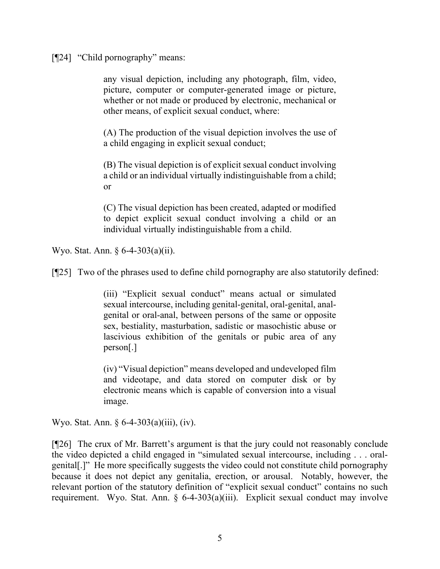[¶24] "Child pornography" means:

any visual depiction, including any photograph, film, video, picture, computer or computer-generated image or picture, whether or not made or produced by electronic, mechanical or other means, of explicit sexual conduct, where:

(A) The production of the visual depiction involves the use of a child engaging in explicit sexual conduct;

(B) The visual depiction is of explicit sexual conduct involving a child or an individual virtually indistinguishable from a child; or

(C) The visual depiction has been created, adapted or modified to depict explicit sexual conduct involving a child or an individual virtually indistinguishable from a child.

Wyo. Stat. Ann. § 6-4-303(a)(ii).

[¶25] Two of the phrases used to define child pornography are also statutorily defined:

(iii) "Explicit sexual conduct" means actual or simulated sexual intercourse, including genital-genital, oral-genital, analgenital or oral-anal, between persons of the same or opposite sex, bestiality, masturbation, sadistic or masochistic abuse or lascivious exhibition of the genitals or pubic area of any person[.]

(iv) "Visual depiction" means developed and undeveloped film and videotape, and data stored on computer disk or by electronic means which is capable of conversion into a visual image.

Wyo. Stat. Ann. § 6-4-303(a)(iii), (iv).

[¶26] The crux of Mr. Barrett's argument is that the jury could not reasonably conclude the video depicted a child engaged in "simulated sexual intercourse, including . . . oralgenital[.]" He more specifically suggests the video could not constitute child pornography because it does not depict any genitalia, erection, or arousal. Notably, however, the relevant portion of the statutory definition of "explicit sexual conduct" contains no such requirement. Wyo. Stat. Ann. § 6-4-303(a)(iii). Explicit sexual conduct may involve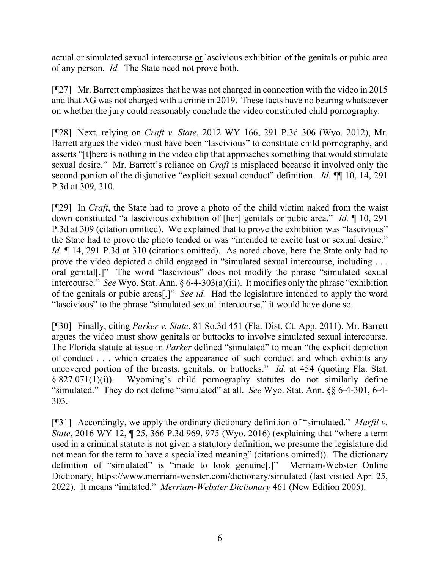actual or simulated sexual intercourse or lascivious exhibition of the genitals or pubic area of any person. *Id.* The State need not prove both.

[¶27] Mr. Barrett emphasizes that he was not charged in connection with the video in 2015 and that AG was not charged with a crime in 2019. These facts have no bearing whatsoever on whether the jury could reasonably conclude the video constituted child pornography.

[¶28] Next, relying on *Craft v. State*, 2012 WY 166, 291 P.3d 306 (Wyo. 2012), Mr. Barrett argues the video must have been "lascivious" to constitute child pornography, and asserts "[t]here is nothing in the video clip that approaches something that would stimulate sexual desire." Mr. Barrett's reliance on *Craft* is misplaced because it involved only the second portion of the disjunctive "explicit sexual conduct" definition. *Id.*  $\P\P$  10, 14, 291 P.3d at 309, 310.

[¶29] In *Craft*, the State had to prove a photo of the child victim naked from the waist down constituted "a lascivious exhibition of [her] genitals or pubic area." *Id.* ¶ 10, 291 P.3d at 309 (citation omitted). We explained that to prove the exhibition was "lascivious" the State had to prove the photo tended or was "intended to excite lust or sexual desire." *Id.*  $\parallel$  14, 291 P.3d at 310 (citations omitted). As noted above, here the State only had to prove the video depicted a child engaged in "simulated sexual intercourse, including . . . oral genital[.]" The word "lascivious" does not modify the phrase "simulated sexual intercourse." *See* Wyo. Stat. Ann. § 6-4-303(a)(iii). It modifies only the phrase "exhibition of the genitals or pubic areas[.]" *See id.* Had the legislature intended to apply the word "lascivious" to the phrase "simulated sexual intercourse," it would have done so.

[¶30] Finally, citing *Parker v. State*, 81 So.3d 451 (Fla. Dist. Ct. App. 2011), Mr. Barrett argues the video must show genitals or buttocks to involve simulated sexual intercourse. The Florida statute at issue in *Parker* defined "simulated" to mean "the explicit depiction of conduct . . . which creates the appearance of such conduct and which exhibits any uncovered portion of the breasts, genitals, or buttocks." *Id.* at 454 (quoting Fla. Stat. § 827.071(1)(i)). Wyoming's child pornography statutes do not similarly define "simulated." They do not define "simulated" at all. *See* Wyo. Stat. Ann. §§ 6-4-301, 6-4- 303.

[¶31] Accordingly, we apply the ordinary dictionary definition of "simulated." *Marfil v. State*, 2016 WY 12, ¶ 25, 366 P.3d 969, 975 (Wyo. 2016) (explaining that "where a term used in a criminal statute is not given a statutory definition, we presume the legislature did not mean for the term to have a specialized meaning" (citations omitted)). The dictionary definition of "simulated" is "made to look genuine[.]" Merriam-Webster Online Dictionary, https://www.merriam-webster.com/dictionary/simulated (last visited Apr. 25, 2022). It means "imitated." *Merriam-Webster Dictionary* 461 (New Edition 2005).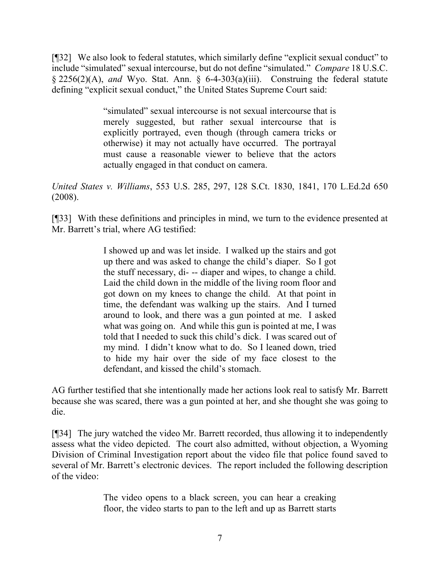[¶32] We also look to federal statutes, which similarly define "explicit sexual conduct" to include "simulated" sexual intercourse, but do not define "simulated." *Compare* 18 U.S.C. § 2256(2)(A), *and* Wyo. Stat. Ann. § 6-4-303(a)(iii). Construing the federal statute defining "explicit sexual conduct," the United States Supreme Court said:

> "simulated" sexual intercourse is not sexual intercourse that is merely suggested, but rather sexual intercourse that is explicitly portrayed, even though (through camera tricks or otherwise) it may not actually have occurred. The portrayal must cause a reasonable viewer to believe that the actors actually engaged in that conduct on camera.

*United States v. Williams*, 553 U.S. 285, 297, 128 S.Ct. 1830, 1841, 170 L.Ed.2d 650 (2008).

[¶33] With these definitions and principles in mind, we turn to the evidence presented at Mr. Barrett's trial, where AG testified:

> I showed up and was let inside. I walked up the stairs and got up there and was asked to change the child's diaper. So I got the stuff necessary, di- -- diaper and wipes, to change a child. Laid the child down in the middle of the living room floor and got down on my knees to change the child. At that point in time, the defendant was walking up the stairs. And I turned around to look, and there was a gun pointed at me. I asked what was going on. And while this gun is pointed at me, I was told that I needed to suck this child's dick. I was scared out of my mind. I didn't know what to do. So I leaned down, tried to hide my hair over the side of my face closest to the defendant, and kissed the child's stomach.

AG further testified that she intentionally made her actions look real to satisfy Mr. Barrett because she was scared, there was a gun pointed at her, and she thought she was going to die.

[¶34] The jury watched the video Mr. Barrett recorded, thus allowing it to independently assess what the video depicted. The court also admitted, without objection, a Wyoming Division of Criminal Investigation report about the video file that police found saved to several of Mr. Barrett's electronic devices. The report included the following description of the video:

> The video opens to a black screen, you can hear a creaking floor, the video starts to pan to the left and up as Barrett starts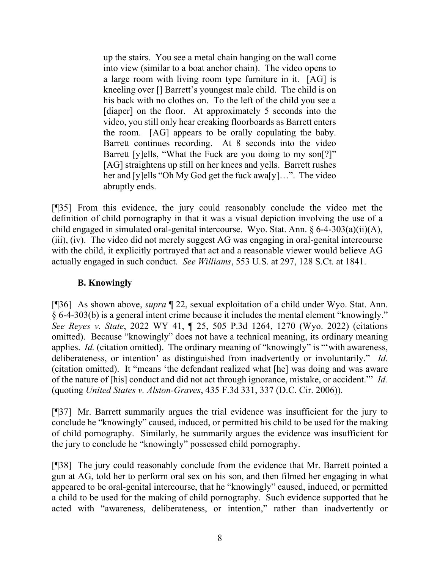up the stairs. You see a metal chain hanging on the wall come into view (similar to a boat anchor chain). The video opens to a large room with living room type furniture in it. [AG] is kneeling over [] Barrett's youngest male child. The child is on his back with no clothes on. To the left of the child you see a [diaper] on the floor. At approximately 5 seconds into the video, you still only hear creaking floorboards as Barrett enters the room. [AG] appears to be orally copulating the baby. Barrett continues recording. At 8 seconds into the video Barrett [y]ells, "What the Fuck are you doing to my son[?]" [AG] straightens up still on her knees and yells. Barrett rushes her and [y]ells "Oh My God get the fuck awa[y]...". The video abruptly ends.

[¶35] From this evidence, the jury could reasonably conclude the video met the definition of child pornography in that it was a visual depiction involving the use of a child engaged in simulated oral-genital intercourse. Wyo. Stat. Ann. § 6-4-303(a)(ii)(A), (iii), (iv). The video did not merely suggest AG was engaging in oral-genital intercourse with the child, it explicitly portrayed that act and a reasonable viewer would believe AG actually engaged in such conduct. *See Williams*, 553 U.S. at 297, 128 S.Ct. at 1841.

## **B. Knowingly**

[¶36] As shown above, *supra* ¶ 22, sexual exploitation of a child under Wyo. Stat. Ann. § 6-4-303(b) is a general intent crime because it includes the mental element "knowingly." *See Reyes v. State*, 2022 WY 41, ¶ 25, 505 P.3d 1264, 1270 (Wyo. 2022) (citations omitted). Because "knowingly" does not have a technical meaning, its ordinary meaning applies. *Id.* (citation omitted). The ordinary meaning of "knowingly" is ""with awareness, deliberateness, or intention' as distinguished from inadvertently or involuntarily." *Id.* (citation omitted). It "means 'the defendant realized what [he] was doing and was aware of the nature of [his] conduct and did not act through ignorance, mistake, or accident."' *Id.* (quoting *United States v. Alston-Graves*, 435 F.3d 331, 337 (D.C. Cir. 2006)).

[¶37] Mr. Barrett summarily argues the trial evidence was insufficient for the jury to conclude he "knowingly" caused, induced, or permitted his child to be used for the making of child pornography. Similarly, he summarily argues the evidence was insufficient for the jury to conclude he "knowingly" possessed child pornography.

[¶38] The jury could reasonably conclude from the evidence that Mr. Barrett pointed a gun at AG, told her to perform oral sex on his son, and then filmed her engaging in what appeared to be oral-genital intercourse, that he "knowingly" caused, induced, or permitted a child to be used for the making of child pornography. Such evidence supported that he acted with "awareness, deliberateness, or intention," rather than inadvertently or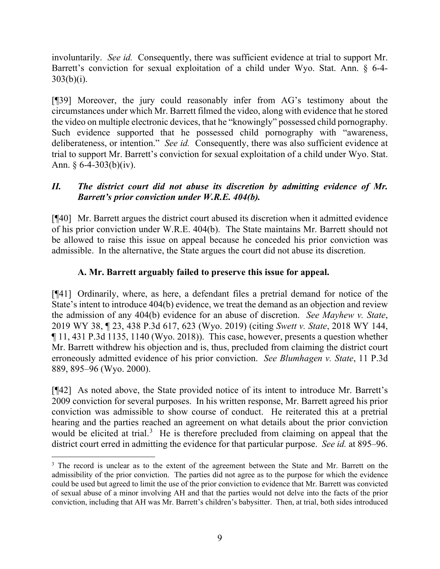involuntarily. *See id.* Consequently, there was sufficient evidence at trial to support Mr. Barrett's conviction for sexual exploitation of a child under Wyo. Stat. Ann. § 6-4-  $303(b)(i)$ .

[¶39] Moreover, the jury could reasonably infer from AG's testimony about the circumstances under which Mr. Barrett filmed the video, along with evidence that he stored the video on multiple electronic devices, that he "knowingly" possessed child pornography. Such evidence supported that he possessed child pornography with "awareness, deliberateness, or intention." *See id.* Consequently, there was also sufficient evidence at trial to support Mr. Barrett's conviction for sexual exploitation of a child under Wyo. Stat. Ann.  $§ 6-4-303(b)(iv)$ .

# *II. The district court did not abuse its discretion by admitting evidence of Mr. Barrett's prior conviction under W.R.E. 404(b).*

[¶40] Mr. Barrett argues the district court abused its discretion when it admitted evidence of his prior conviction under W.R.E. 404(b). The State maintains Mr. Barrett should not be allowed to raise this issue on appeal because he conceded his prior conviction was admissible. In the alternative, the State argues the court did not abuse its discretion.

# **A. Mr. Barrett arguably failed to preserve this issue for appeal.**

[¶41] Ordinarily, where, as here, a defendant files a pretrial demand for notice of the State's intent to introduce 404(b) evidence, we treat the demand as an objection and review the admission of any 404(b) evidence for an abuse of discretion. *See Mayhew v. State*, 2019 WY 38, ¶ 23, 438 P.3d 617, 623 (Wyo. 2019) (citing *Swett v. State*, 2018 WY 144, ¶ 11, 431 P.3d 1135, 1140 (Wyo. 2018)). This case, however, presents a question whether Mr. Barrett withdrew his objection and is, thus, precluded from claiming the district court erroneously admitted evidence of his prior conviction. *See Blumhagen v. State*, 11 P.3d 889, 895–96 (Wyo. 2000).

[¶42] As noted above, the State provided notice of its intent to introduce Mr. Barrett's 2009 conviction for several purposes. In his written response, Mr. Barrett agreed his prior conviction was admissible to show course of conduct. He reiterated this at a pretrial hearing and the parties reached an agreement on what details about the prior conviction would be elicited at trial.<sup>[3](#page-9-0)</sup> He is therefore precluded from claiming on appeal that the district court erred in admitting the evidence for that particular purpose. *See id.* at 895–96.

<span id="page-9-0"></span><sup>&</sup>lt;sup>3</sup> The record is unclear as to the extent of the agreement between the State and Mr. Barrett on the admissibility of the prior conviction. The parties did not agree as to the purpose for which the evidence could be used but agreed to limit the use of the prior conviction to evidence that Mr. Barrett was convicted of sexual abuse of a minor involving AH and that the parties would not delve into the facts of the prior conviction, including that AH was Mr. Barrett's children's babysitter. Then, at trial, both sides introduced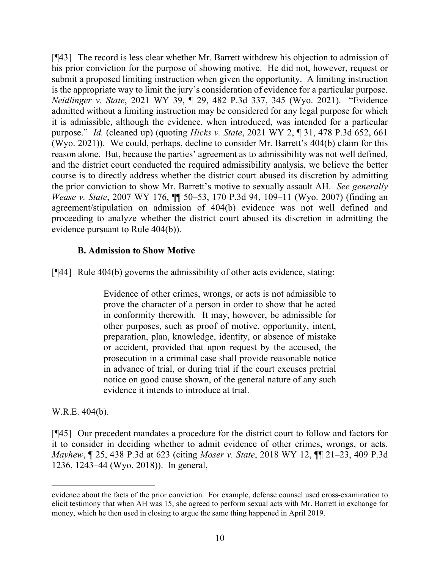[¶43] The record is less clear whether Mr. Barrett withdrew his objection to admission of his prior conviction for the purpose of showing motive. He did not, however, request or submit a proposed limiting instruction when given the opportunity. A limiting instruction is the appropriate way to limit the jury's consideration of evidence for a particular purpose. *Neidlinger v. State*, 2021 WY 39, ¶ 29, 482 P.3d 337, 345 (Wyo. 2021). "Evidence admitted without a limiting instruction may be considered for any legal purpose for which it is admissible, although the evidence, when introduced, was intended for a particular purpose." *Id.* (cleaned up) (quoting *Hicks v. State*, 2021 WY 2, ¶ 31, 478 P.3d 652, 661 (Wyo. 2021)). We could, perhaps, decline to consider Mr. Barrett's 404(b) claim for this reason alone. But, because the parties' agreement as to admissibility was not well defined, and the district court conducted the required admissibility analysis, we believe the better course is to directly address whether the district court abused its discretion by admitting the prior conviction to show Mr. Barrett's motive to sexually assault AH. *See generally Wease v. State*, 2007 WY 176, ¶¶ 50–53, 170 P.3d 94, 109–11 (Wyo. 2007) (finding an agreement/stipulation on admission of 404(b) evidence was not well defined and proceeding to analyze whether the district court abused its discretion in admitting the evidence pursuant to Rule 404(b)).

### **B. Admission to Show Motive**

[¶44] Rule 404(b) governs the admissibility of other acts evidence, stating:

Evidence of other crimes, wrongs, or acts is not admissible to prove the character of a person in order to show that he acted in conformity therewith. It may, however, be admissible for other purposes, such as proof of motive, opportunity, intent, preparation, plan, knowledge, identity, or absence of mistake or accident, provided that upon request by the accused, the prosecution in a criminal case shall provide reasonable notice in advance of trial, or during trial if the court excuses pretrial notice on good cause shown, of the general nature of any such evidence it intends to introduce at trial.

W.R.E. 404(b).

[¶45] Our precedent mandates a procedure for the district court to follow and factors for it to consider in deciding whether to admit evidence of other crimes, wrongs, or acts. *Mayhew*, ¶ 25, 438 P.3d at 623 (citing *Moser v. State*, 2018 WY 12, ¶¶ 21–23, 409 P.3d 1236, 1243–44 (Wyo. 2018)). In general,

evidence about the facts of the prior conviction. For example, defense counsel used cross-examination to elicit testimony that when AH was 15, she agreed to perform sexual acts with Mr. Barrett in exchange for money, which he then used in closing to argue the same thing happened in April 2019.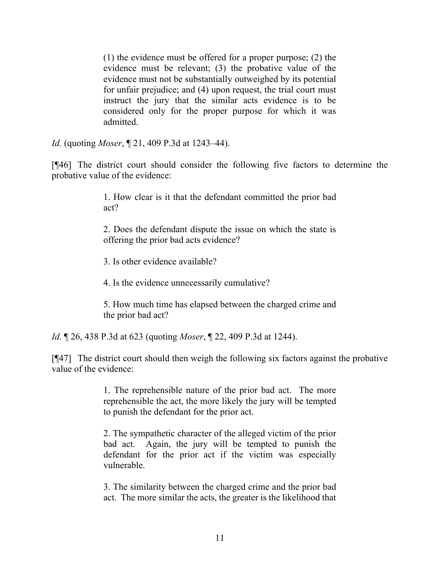(1) the evidence must be offered for a proper purpose; (2) the evidence must be relevant; (3) the probative value of the evidence must not be substantially outweighed by its potential for unfair prejudice; and (4) upon request, the trial court must instruct the jury that the similar acts evidence is to be considered only for the proper purpose for which it was admitted.

*Id.* (quoting *Moser*, ¶ 21, 409 P.3d at 1243–44).

[¶46] The district court should consider the following five factors to determine the probative value of the evidence:

> 1. How clear is it that the defendant committed the prior bad act?

> 2. Does the defendant dispute the issue on which the state is offering the prior bad acts evidence?

3. Is other evidence available?

4. Is the evidence unnecessarily cumulative?

5. How much time has elapsed between the charged crime and the prior bad act?

*Id.* ¶ 26, 438 P.3d at 623 (quoting *Moser*, ¶ 22, 409 P.3d at 1244).

[¶47] The district court should then weigh the following six factors against the probative value of the evidence:

> 1. The reprehensible nature of the prior bad act. The more reprehensible the act, the more likely the jury will be tempted to punish the defendant for the prior act.

> 2. The sympathetic character of the alleged victim of the prior bad act. Again, the jury will be tempted to punish the defendant for the prior act if the victim was especially vulnerable.

> 3. The similarity between the charged crime and the prior bad act. The more similar the acts, the greater is the likelihood that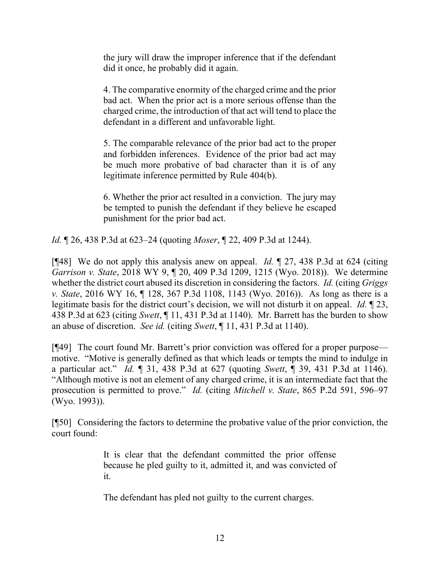the jury will draw the improper inference that if the defendant did it once, he probably did it again.

4. The comparative enormity of the charged crime and the prior bad act. When the prior act is a more serious offense than the charged crime, the introduction of that act will tend to place the defendant in a different and unfavorable light.

5. The comparable relevance of the prior bad act to the proper and forbidden inferences. Evidence of the prior bad act may be much more probative of bad character than it is of any legitimate inference permitted by Rule 404(b).

6. Whether the prior act resulted in a conviction. The jury may be tempted to punish the defendant if they believe he escaped punishment for the prior bad act.

*Id.* ¶ 26, 438 P.3d at 623–24 (quoting *Moser*, ¶ 22, 409 P.3d at 1244).

[¶48] We do not apply this analysis anew on appeal. *Id.* ¶ 27, 438 P.3d at 624 (citing *Garrison v. State*, 2018 WY 9, ¶ 20, 409 P.3d 1209, 1215 (Wyo. 2018)). We determine whether the district court abused its discretion in considering the factors. *Id.* (citing *Griggs v. State*, 2016 WY 16, ¶ 128, 367 P.3d 1108, 1143 (Wyo. 2016)). As long as there is a legitimate basis for the district court's decision, we will not disturb it on appeal. *Id.* ¶ 23, 438 P.3d at 623 (citing *Swett*, ¶ 11, 431 P.3d at 1140). Mr. Barrett has the burden to show an abuse of discretion. *See id.* (citing *Swett*, ¶ 11, 431 P.3d at 1140).

[¶49] The court found Mr. Barrett's prior conviction was offered for a proper purpose motive. "Motive is generally defined as that which leads or tempts the mind to indulge in a particular act." *Id.* ¶ 31, 438 P.3d at 627 (quoting *Swett*, ¶ 39, 431 P.3d at 1146). "Although motive is not an element of any charged crime, it is an intermediate fact that the prosecution is permitted to prove." *Id.* (citing *Mitchell v. State*, 865 P.2d 591, 596–97 (Wyo. 1993)).

[¶50] Considering the factors to determine the probative value of the prior conviction, the court found:

> It is clear that the defendant committed the prior offense because he pled guilty to it, admitted it, and was convicted of it.

The defendant has pled not guilty to the current charges.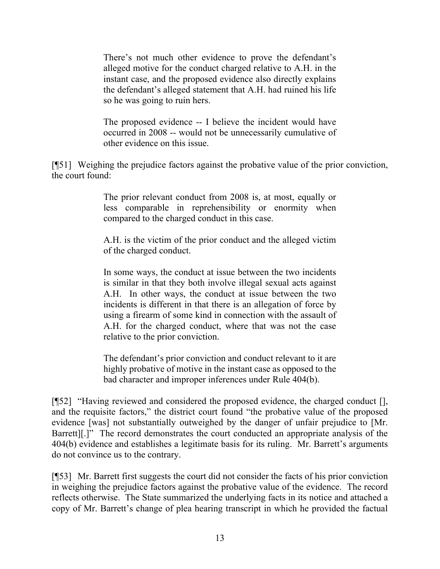There's not much other evidence to prove the defendant's alleged motive for the conduct charged relative to A.H. in the instant case, and the proposed evidence also directly explains the defendant's alleged statement that A.H. had ruined his life so he was going to ruin hers.

The proposed evidence -- I believe the incident would have occurred in 2008 -- would not be unnecessarily cumulative of other evidence on this issue.

[¶51] Weighing the prejudice factors against the probative value of the prior conviction, the court found:

> The prior relevant conduct from 2008 is, at most, equally or less comparable in reprehensibility or enormity when compared to the charged conduct in this case.

> A.H. is the victim of the prior conduct and the alleged victim of the charged conduct.

> In some ways, the conduct at issue between the two incidents is similar in that they both involve illegal sexual acts against A.H. In other ways, the conduct at issue between the two incidents is different in that there is an allegation of force by using a firearm of some kind in connection with the assault of A.H. for the charged conduct, where that was not the case relative to the prior conviction.

> The defendant's prior conviction and conduct relevant to it are highly probative of motive in the instant case as opposed to the bad character and improper inferences under Rule 404(b).

[¶52] "Having reviewed and considered the proposed evidence, the charged conduct [], and the requisite factors," the district court found "the probative value of the proposed evidence [was] not substantially outweighed by the danger of unfair prejudice to [Mr. Barrett][.]" The record demonstrates the court conducted an appropriate analysis of the 404(b) evidence and establishes a legitimate basis for its ruling. Mr. Barrett's arguments do not convince us to the contrary.

[¶53] Mr. Barrett first suggests the court did not consider the facts of his prior conviction in weighing the prejudice factors against the probative value of the evidence. The record reflects otherwise. The State summarized the underlying facts in its notice and attached a copy of Mr. Barrett's change of plea hearing transcript in which he provided the factual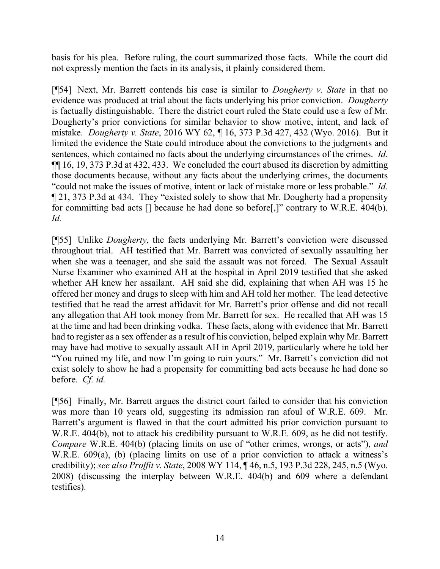basis for his plea. Before ruling, the court summarized those facts. While the court did not expressly mention the facts in its analysis, it plainly considered them.

[¶54] Next, Mr. Barrett contends his case is similar to *Dougherty v. State* in that no evidence was produced at trial about the facts underlying his prior conviction. *Dougherty*  is factually distinguishable. There the district court ruled the State could use a few of Mr. Dougherty's prior convictions for similar behavior to show motive, intent, and lack of mistake. *Dougherty v. State*, 2016 WY 62, ¶ 16, 373 P.3d 427, 432 (Wyo. 2016). But it limited the evidence the State could introduce about the convictions to the judgments and sentences, which contained no facts about the underlying circumstances of the crimes. *Id.* ¶¶ 16, 19, 373 P.3d at 432, 433. We concluded the court abused its discretion by admitting those documents because, without any facts about the underlying crimes, the documents "could not make the issues of motive, intent or lack of mistake more or less probable." *Id.* ¶ 21, 373 P.3d at 434. They "existed solely to show that Mr. Dougherty had a propensity for committing bad acts [] because he had done so before[,]" contrary to W.R.E. 404(b). *Id.*

[¶55] Unlike *Dougherty*, the facts underlying Mr. Barrett's conviction were discussed throughout trial. AH testified that Mr. Barrett was convicted of sexually assaulting her when she was a teenager, and she said the assault was not forced. The Sexual Assault Nurse Examiner who examined AH at the hospital in April 2019 testified that she asked whether AH knew her assailant. AH said she did, explaining that when AH was 15 he offered her money and drugs to sleep with him and AH told her mother. The lead detective testified that he read the arrest affidavit for Mr. Barrett's prior offense and did not recall any allegation that AH took money from Mr. Barrett for sex. He recalled that AH was 15 at the time and had been drinking vodka. These facts, along with evidence that Mr. Barrett had to register as a sex offender as a result of his conviction, helped explain why Mr. Barrett may have had motive to sexually assault AH in April 2019, particularly where he told her "You ruined my life, and now I'm going to ruin yours." Mr. Barrett's conviction did not exist solely to show he had a propensity for committing bad acts because he had done so before. *Cf. id.*

[¶56] Finally, Mr. Barrett argues the district court failed to consider that his conviction was more than 10 years old, suggesting its admission ran afoul of W.R.E. 609. Mr. Barrett's argument is flawed in that the court admitted his prior conviction pursuant to W.R.E. 404(b), not to attack his credibility pursuant to W.R.E. 609, as he did not testify. *Compare* W.R.E. 404(b) (placing limits on use of "other crimes, wrongs, or acts"), *and*  W.R.E. 609(a), (b) (placing limits on use of a prior conviction to attack a witness's credibility); *see also Proffit v. State*, 2008 WY 114, ¶ 46, n.5, 193 P.3d 228, 245, n.5 (Wyo. 2008) (discussing the interplay between W.R.E. 404(b) and 609 where a defendant testifies).